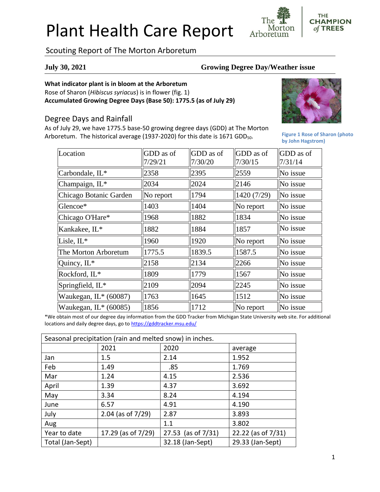# Plant Health Care Report

**CHAMPION** of TREES Morton Arboretum

## Scouting Report of The Morton Arboretum

#### **July 30, 2021 Growing Degree Day/Weather issue**

#### **What indicator plant is in bloom at the Arboretum**

Rose of Sharon (*Hibiscus syriacus*) is in flower (fig. 1) **Accumulated Growing Degree Days (Base 50): 1775.5 (as of July 29)**

### Degree Days and Rainfall

As of July 29, we have 1775.5 base-50 growing degree days (GDD) at The Morton Arboretum. The historical average (1937-2020) for this date is 1671 GDD<sub>50</sub>.



**THE** 

**Figure 1 Rose of Sharon (photo by John Hagstrom)**

| Location               | GDD as of | GDD as of | GDD as of   | GDD as of |
|------------------------|-----------|-----------|-------------|-----------|
|                        | 7/29/21   | 7/30/20   | 7/30/15     | 7/31/14   |
| Carbondale, IL*        | 2358      | 2395      | 2559        | No issue  |
| Champaign, IL*         | 2034      | 2024      | 2146        | No issue  |
| Chicago Botanic Garden | No report | 1794      | 1420 (7/29) | No issue  |
| Glencoe*               | 1403      | 1404      | No report   | No issue  |
| Chicago O'Hare*        | 1968      | 1882      | 1834        | No issue  |
| Kankakee, IL*          | 1882      | 1884      | 1857        | No issue  |
| Lisle, IL*             | 1960      | 1920      | No report   | No issue  |
| The Morton Arboretum   | 1775.5    | 1839.5    | 1587.5      | No issue  |
| Quincy, IL*            | 2158      | 2134      | 2266        | No issue  |
| Rockford, IL*          | 1809      | 1779      | 1567        | No issue  |
| Springfield, IL*       | 2109      | 2094      | 2245        | No issue  |
| Waukegan, $IL*(60087)$ | 1763      | 1645      | 1512        | No issue  |
| Waukegan, $IL*(60085)$ | 1856      | 1712      | No report   | No issue  |

\*We obtain most of our degree day information from the GDD Tracker from Michigan State University web site. For additional locations and daily degree days, go to <https://gddtracker.msu.edu/>

| Seasonal precipitation (rain and melted snow) in inches. |                      |                       |                    |  |  |
|----------------------------------------------------------|----------------------|-----------------------|--------------------|--|--|
|                                                          | 2021                 | 2020                  | average            |  |  |
| Jan                                                      | 1.5                  | 2.14                  | 1.952              |  |  |
| Feb                                                      | 1.49                 | .85                   | 1.769              |  |  |
| Mar                                                      | 1.24                 | 4.15                  | 2.536              |  |  |
| April                                                    | 1.39                 | 4.37                  | 3.692              |  |  |
| May                                                      | 3.34                 | 8.24                  | 4.194              |  |  |
| June                                                     | 6.57                 | 4.91                  | 4.190              |  |  |
| July                                                     | 2.04 (as of $7/29$ ) | 2.87                  | 3.893              |  |  |
| Aug                                                      |                      | 1.1                   | 3.802              |  |  |
| Year to date                                             | 17.29 (as of 7/29)   | 27.53 (as of $7/31$ ) | 22.22 (as of 7/31) |  |  |
| Total (Jan-Sept)                                         |                      | 32.18 (Jan-Sept)      | 29.33 (Jan-Sept)   |  |  |